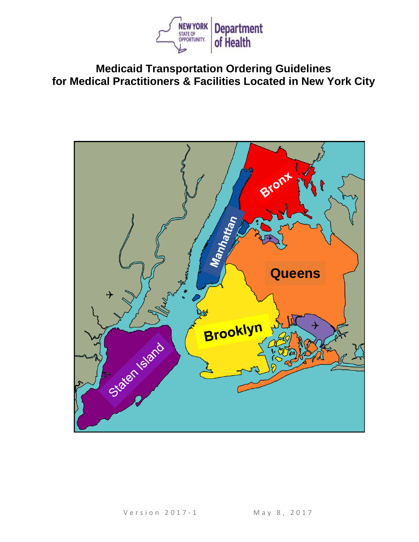

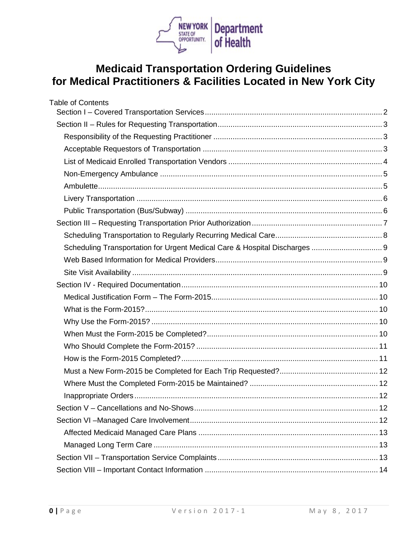

| <b>Table of Contents</b>                                                   |  |
|----------------------------------------------------------------------------|--|
|                                                                            |  |
|                                                                            |  |
|                                                                            |  |
|                                                                            |  |
|                                                                            |  |
|                                                                            |  |
|                                                                            |  |
|                                                                            |  |
|                                                                            |  |
|                                                                            |  |
|                                                                            |  |
| Scheduling Transportation for Urgent Medical Care & Hospital Discharges  9 |  |
|                                                                            |  |
|                                                                            |  |
|                                                                            |  |
|                                                                            |  |
|                                                                            |  |
|                                                                            |  |
|                                                                            |  |
|                                                                            |  |
|                                                                            |  |
|                                                                            |  |
|                                                                            |  |
|                                                                            |  |
|                                                                            |  |
|                                                                            |  |
|                                                                            |  |
|                                                                            |  |
|                                                                            |  |
|                                                                            |  |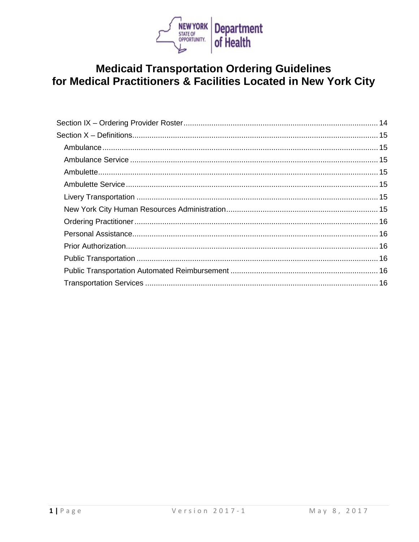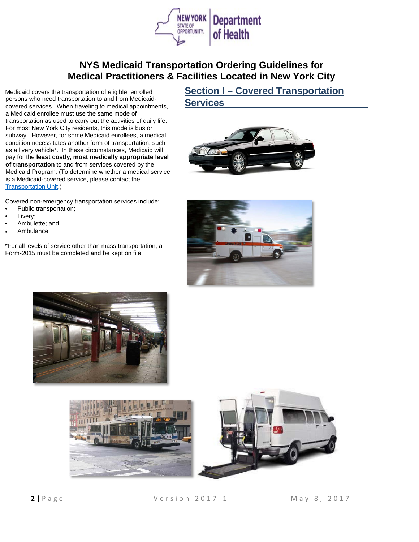

Medicaid covers the transportation of eligible, enrolled persons who need transportation to and from Medicaidcovered services. When traveling to medical appointments, a Medicaid enrollee must use the same mode of transportation as used to carry out the activities of daily life. For most New York City residents, this mode is bus or subway. However, for some Medicaid enrollees, a medical condition necessitates another form of transportation, such as a livery vehicle\*. In these circumstances, Medicaid will pay for the **least costly, most medically appropriate level of transportation** to and from services covered by the Medicaid Program. (To determine whether a medical service is a Medicaid-covered service, please contact the [Transportation Unit.](mailto:medtrans@health.ny.gov))

#### Covered non-emergency transportation services include:

- Public transportation;
- Livery;
- Ambulette; and
- Ambulance.

\*For all levels of service other than mass transportation, a Form-2015 must be completed and be kept on file.

## <span id="page-3-0"></span>**Section I – Covered Transportation Services\_\_\_\_\_\_\_\_\_\_\_\_\_\_\_\_\_\_\_\_\_\_\_\_\_\_\_**







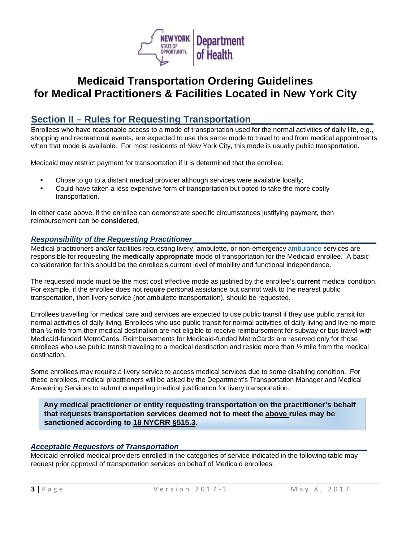

## <span id="page-4-0"></span>**Section II – Rules for Requesting Transportation\_\_\_\_\_\_\_\_\_\_\_\_\_\_\_\_\_\_\_\_\_\_\_**

Enrollees who have reasonable access to a mode of transportation used for the normal activities of daily life, e.g., shopping and recreational events, are expected to use this same mode to travel to and from medical appointments when that mode is available. For most residents of New York City, this mode is usually public transportation.

Medicaid may restrict payment for transportation if it is determined that the enrollee:

- Chose to go to a distant medical provider although services were available locally;
- Could have taken a less expensive form of transportation but opted to take the more costly transportation.

In either case above, if the enrollee can demonstrate specific circumstances justifying payment, then reimbursement can be **considered**.

### <span id="page-4-1"></span>*Responsibility of the Requesting Practitioner\_\_\_\_\_\_\_\_\_\_\_\_\_\_\_\_\_\_\_\_\_\_\_\_\_\_\_\_\_\_\_\_\_\_\_\_\_\_\_\_\_\_\_\_*

Medical practitioners and/or facilities requesting livery, ambulette, or non-emergency [ambulance](#page-16-1) services are responsible for requesting the **medically appropriate** mode of transportation for the Medicaid enrollee. A basic consideration for this should be the enrollee's current level of mobility and functional independence.

The requested mode must be the most cost effective mode as justified by the enrollee's **current** medical condition. For example, if the enrollee does not require personal assistance but cannot walk to the nearest public transportation, then livery service (not ambulette transportation), should be requested.

Enrollees travelling for medical care and services are expected to use public transit if they use public transit for normal activities of daily living. Enrollees who use public transit for normal activities of daily living and live no more than ½ mile from their medical destination are not eligible to receive reimbursement for subway or bus travel with Medicaid-funded MetroCards. Reimbursements for Medicaid-funded MetroCards are reserved only for those enrollees who use public transit traveling to a medical destination and reside more than  $\frac{1}{2}$  mile from the medical destination.

Some enrollees may require a livery service to access medical services due to some disabling condition. For these enrollees, medical practitioners will be asked by the Department's Transportation Manager and Medical Answering Services to submit compelling medical justification for livery transportation.

**Any medical practitioner or entity requesting transportation on the practitioner's behalf that requests transportation services deemed not to meet the above rules may be sanctioned according to [18 NYCRR §515.3.](https://regs.health.ny.gov/content/section-5153-authority-sanction)**

### <span id="page-4-2"></span>*Acceptable Requestors of Transportation\_\_\_\_\_\_\_\_\_\_\_\_\_\_\_\_\_\_\_\_\_\_\_\_\_\_\_\_\_\_\_\_\_\_\_\_\_\_\_\_\_\_\_\_\_*

Medicaid-enrolled medical providers enrolled in the categories of service indicated in the following table may request prior approval of transportation services on behalf of Medicaid enrollees.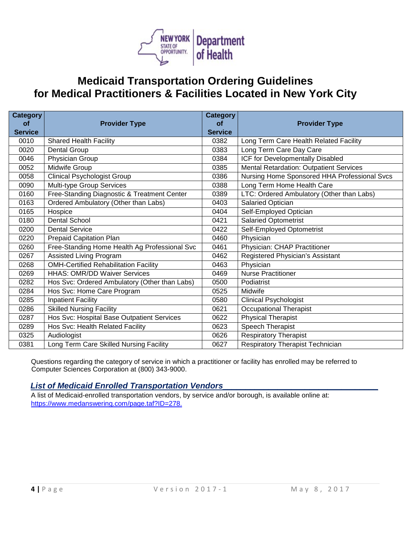

| <b>Category</b><br><b>of</b> | <b>Provider Type</b>                          | <b>Category</b><br><b>of</b> | <b>Provider Type</b>                         |
|------------------------------|-----------------------------------------------|------------------------------|----------------------------------------------|
| <b>Service</b>               |                                               | <b>Service</b>               |                                              |
| 0010                         | <b>Shared Health Facility</b>                 | 0382                         | Long Term Care Health Related Facility       |
| 0020                         | <b>Dental Group</b>                           | 0383                         | Long Term Care Day Care                      |
| 0046                         | Physician Group                               | 0384                         | ICF for Developmentally Disabled             |
| 0052                         | Midwife Group                                 | 0385                         | Mental Retardation: Outpatient Services      |
| 0058                         | <b>Clinical Psychologist Group</b>            | 0386                         | Nursing Home Sponsored HHA Professional Svcs |
| 0090                         | Multi-type Group Services                     | 0388                         | Long Term Home Health Care                   |
| 0160                         | Free-Standing Diagnostic & Treatment Center   | 0389                         | LTC: Ordered Ambulatory (Other than Labs)    |
| 0163                         | Ordered Ambulatory (Other than Labs)          | 0403                         | Salaried Optician                            |
| 0165                         | Hospice                                       | 0404                         | Self-Employed Optician                       |
| 0180                         | <b>Dental School</b>                          | 0421                         | <b>Salaried Optometrist</b>                  |
| 0200                         | <b>Dental Service</b>                         | 0422                         | Self-Employed Optometrist                    |
| 0220                         | Prepaid Capitation Plan                       | 0460                         | Physician                                    |
| 0260                         | Free-Standing Home Health Ag Professional Svc | 0461                         | Physician: CHAP Practitioner                 |
| 0267                         | <b>Assisted Living Program</b>                | 0462                         | Registered Physician's Assistant             |
| 0268                         | <b>OMH-Certified Rehabilitation Facility</b>  | 0463                         | Physician                                    |
| 0269                         | <b>HHAS: OMR/DD Waiver Services</b>           | 0469                         | <b>Nurse Practitioner</b>                    |
| 0282                         | Hos Svc: Ordered Ambulatory (Other than Labs) | 0500                         | Podiatrist                                   |
| 0284                         | Hos Svc: Home Care Program                    | 0525                         | Midwife                                      |
| 0285                         | <b>Inpatient Facility</b>                     | 0580                         | <b>Clinical Psychologist</b>                 |
| 0286                         | <b>Skilled Nursing Facility</b>               | 0621                         | <b>Occupational Therapist</b>                |
| 0287                         | Hos Svc: Hospital Base Outpatient Services    | 0622                         | <b>Physical Therapist</b>                    |
| 0289                         | Hos Svc: Health Related Facility              | 0623                         | Speech Therapist                             |
| 0325                         | Audiologist                                   | 0626                         | Respiratory Therapist                        |
| 0381                         | Long Term Care Skilled Nursing Facility       | 0627                         | Respiratory Therapist Technician             |

Questions regarding the category of service in which a practitioner or facility has enrolled may be referred to Computer Sciences Corporation at (800) 343-9000.

### <span id="page-5-0"></span>*List of Medicaid Enrolled Transportation Vendors\_\_\_\_\_\_\_\_\_\_\_\_\_\_\_\_\_\_\_\_\_\_\_\_\_\_\_\_\_\_\_\_\_\_*

<span id="page-5-1"></span>A list of Medicaid-enrolled transportation vendors, by service and/or borough, is available online at: [https://www.medanswering.com/page.taf?ID=278.](https://www.medanswering.com/page.taf?ID=278)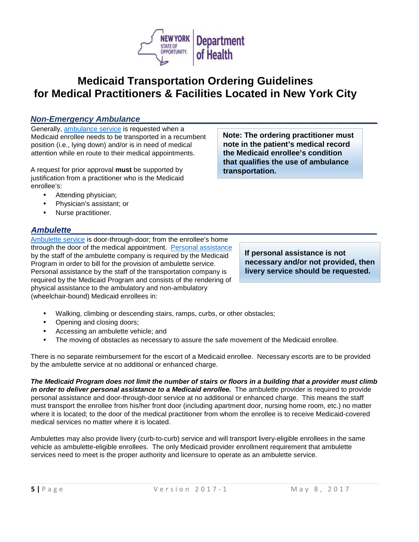

### *Non-Emergency Ambulance\_\_\_\_\_\_\_\_\_\_\_\_\_\_\_\_\_\_\_\_\_\_\_\_\_\_\_\_\_\_\_\_\_\_\_\_\_\_\_\_\_\_\_\_\_\_\_\_\_\_\_\_*

Generally, [ambulance service](#page-16-2) is requested when a Medicaid enrollee needs to be transported in a recumbent position (i.e., lying down) and/or is in need of medical attention while en route to their medical appointments.

A request for prior approval **must** be supported by justification from a practitioner who is the Medicaid enrollee's:

- Attending physician;
- Physician's assistant; or
- Nurse practitioner.

### <span id="page-6-0"></span>*[Ambulette\\_](#page-16-2)\_\_\_\_\_\_\_\_\_\_\_\_\_\_\_\_\_\_\_\_\_\_\_\_\_\_\_\_\_\_\_\_\_\_\_\_\_\_\_\_\_\_\_\_\_\_\_\_\_\_\_\_\_\_\_\_\_\_\_\_\_\_\_\_\_\_*

[Ambulette service](#page-16-3) is door-through-door; from the enrollee's home through the door of the medical appointment. [Personal assistance](#page-17-1) by the staff of the ambulette company is required by the Medicaid Program in order to bill for the provision of ambulette service. Personal assistance by the staff of the transportation company is required by the Medicaid Program and consists of the rendering of physical assistance to the ambulatory and non-ambulatory (wheelchair-bound) Medicaid enrollees in:

**note in the patient's medical record the Medicaid enrollee's condition that qualifies the use of ambulance transportation.** 

**Note: The ordering practitioner must** 

**If personal assistance is not necessary and/or not provided, then livery service should be requested.**

- Walking, climbing or descending stairs, ramps, curbs, or other obstacles;
- Opening and closing doors;
- Accessing an ambulette vehicle; and
- The moving of obstacles as necessary to assure the safe movement of the Medicaid enrollee.

There is no separate reimbursement for the escort of a Medicaid enrollee. Necessary escorts are to be provided by the ambulette service at no additional or enhanced charge.

*The Medicaid Program does not limit the number of stairs or floors in a building that a provider must climb in order to deliver personal assistance to a Medicaid enrollee.* The ambulette provider is required to provide personal assistance and door-through-door service at no additional or enhanced charge. This means the staff must transport the enrollee from his/her front door (including apartment door, nursing home room, etc.) no matter where it is located; to the door of the medical practitioner from whom the enrollee is to receive Medicaid-covered medical services no matter where it is located.

Ambulettes may also provide livery (curb-to-curb) service and will transport livery-eligible enrollees in the same vehicle as ambulette-eligible enrollees. The only Medicaid provider enrollment requirement that ambulette services need to meet is the proper authority and licensure to operate as an ambulette service.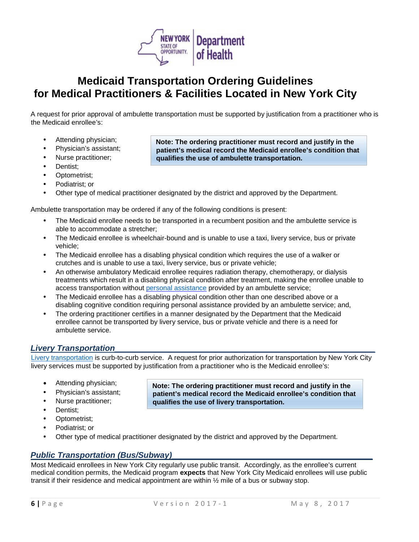

A request for prior approval of ambulette transportation must be supported by justification from a practitioner who is the Medicaid enrollee's:

- Attending physician;
- Physician's assistant;
- Nurse practitioner;
- Dentist:
- Optometrist;
- Podiatrist; or
- Other type of medical practitioner designated by the district and approved by the Department.

Ambulette transportation may be ordered if any of the following conditions is present:

- The Medicaid enrollee needs to be transported in a recumbent position and the ambulette service is able to accommodate a stretcher;
- The Medicaid enrollee is wheelchair-bound and is unable to use a taxi, livery service, bus or private vehicle;
- The Medicaid enrollee has a disabling physical condition which requires the use of a walker or crutches and is unable to use a taxi, livery service, bus or private vehicle;
- An otherwise ambulatory Medicaid enrollee requires radiation therapy, chemotherapy, or dialysis treatments which result in a disabling physical condition after treatment, making the enrollee unable to access transportation without [personal assistance](#page-17-1) provided by an ambulette service;
- The Medicaid enrollee has a disabling physical condition other than one described above or a disabling cognitive condition requiring personal assistance provided by an ambulette service; and,
- The ordering practitioner certifies in a manner designated by the Department that the Medicaid enrollee cannot be transported by livery service, bus or private vehicle and there is a need for ambulette service.

### <span id="page-7-0"></span>Livery Transportation

[Livery transportation](#page-16-4) is curb-to-curb service. A request for prior authorization for transportation by New York City livery services must be supported by justification from a practitioner who is the Medicaid enrollee's:

> **Note: The ordering practitioner must record and justify in the patient's medical record the Medicaid enrollee's condition that**

- Attending physician;
- Physician's assistant;
- Nurse practitioner:
- Dentist;
- Optometrist;
- Podiatrist; or
- 

**qualifies the use of livery transportation.**

• Other type of medical practitioner designated by the district and approved by the Department.

### <span id="page-7-1"></span>*Public Transportation (Bus/Subway)*

Most Medicaid enrollees in New York City regularly use public transit. Accordingly, as the enrollee's current medical condition permits, the Medicaid program **expects** that New York City Medicaid enrollees will use public transit if their residence and medical appointment are within  $\frac{1}{2}$  mile of a bus or subway stop.

**qualifies the use of ambulette transportation.**

**Note: The ordering practitioner must record and justify in the patient's medical record the Medicaid enrollee's condition that**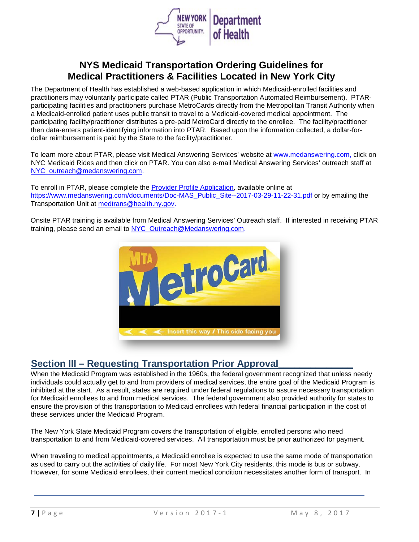

The Department of Health has established a web-based application in which Medicaid-enrolled facilities and practitioners may voluntarily participate called PTAR (Public Transportation Automated Reimbursement). PTARparticipating facilities and practitioners purchase MetroCards directly from the Metropolitan Transit Authority when a Medicaid-enrolled patient uses public transit to travel to a Medicaid-covered medical appointment. The participating facility/practitioner distributes a pre-paid MetroCard directly to the enrollee. The facility/practitioner then data-enters patient-identifying information into PTAR. Based upon the information collected, a dollar-fordollar reimbursement is paid by the State to the facility/practitioner.

To learn more about PTAR, please visit Medical Answering Services' website at [www.medanswering.com,](http://www.medanswering.com/) click on NYC Medicaid Rides and then click on PTAR. You can also e-mail Medical Answering Services' outreach staff at [NYC\\_outreach@medanswering.com.](mailto:NYC_outreach@medanswering.com)

To enroll in PTAR, please complete the [Provider Profile Application,](http://www.nycmedicaidride.net/en-us/medicalpractitioners/downloads.aspx) available online at [https://www.medanswering.com/documents/Doc-MAS\\_Public\\_Site--2017-03-29-11-22-31.pdf](https://www.medanswering.com/documents/Doc-MAS_Public_Site--2017-03-29-11-22-31.pdf) or by emailing the Transportation Unit at [medtrans@health.ny.gov.](mailto:medtrans@health.ny.gov)

Onsite PTAR training is available from Medical Answering Services' Outreach staff. If interested in receiving PTAR training, please send an email to [NYC\\_Outreach@Medanswering.com.](mailto:NYC_Outreach@Medanswering.com)



## <span id="page-8-0"></span>**Section III – Requesting Transportation Prior Approval**

When the Medicaid Program was established in the 1960s, the federal government recognized that unless needy individuals could actually get to and from providers of medical services, the entire goal of the Medicaid Program is inhibited at the start. As a result, states are required under federal regulations to assure necessary transportation for Medicaid enrollees to and from medical services. The federal government also provided authority for states to ensure the provision of this transportation to Medicaid enrollees with federal financial participation in the cost of these services under the Medicaid Program.

The New York State Medicaid Program covers the transportation of eligible, enrolled persons who need transportation to and from Medicaid-covered services. All transportation must be prior authorized for payment.

When traveling to medical appointments, a Medicaid enrollee is expected to use the same mode of transportation as used to carry out the activities of daily life. For most New York City residents, this mode is bus or subway. However, for some Medicaid enrollees, their current medical condition necessitates another form of transport. In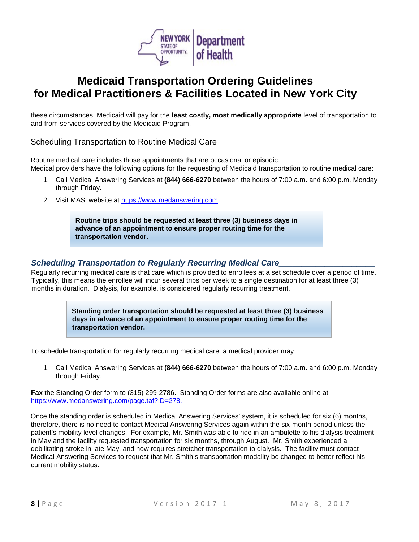

these circumstances, Medicaid will pay for the **least costly, most medically appropriate** level of transportation to and from services covered by the Medicaid Program.

Scheduling Transportation to Routine Medical Care

Routine medical care includes those appointments that are occasional or episodic. Medical providers have the following options for the requesting of Medicaid transportation to routine medical care:

- 1. Call Medical Answering Services at **(844) 666-6270** between the hours of 7:00 a.m. and 6:00 p.m. Monday through Friday.
- 2. Visit MAS' website at [https://www.medanswering.com.](https://www.medanswering.com/)

**Routine trips should be requested at least three (3) business days in advance of an appointment to ensure proper routing time for the transportation vendor.** 

### <span id="page-9-0"></span>**Scheduling Transportation to Regularly Recurring Medical Care\_**

Regularly recurring medical care is that care which is provided to enrollees at a set schedule over a period of time. Typically, this means the enrollee will incur several trips per week to a single destination for at least three (3) months in duration. Dialysis, for example, is considered regularly recurring treatment.

> **Standing order transportation should be requested at least three (3) business days in advance of an appointment to ensure proper routing time for the transportation vendor.**

To schedule transportation for regularly recurring medical care, a medical provider may:

1. Call Medical Answering Services at **(844) 666-6270** between the hours of 7:00 a.m. and 6:00 p.m. Monday through Friday.

**Fax** the Standing Order form to (315) 299-2786. Standing Order forms are also available online at [https://www.medanswering.com/page.taf?ID=278.](https://www.medanswering.com/page.taf?ID=278)

Once the standing order is scheduled in Medical Answering Services' system, it is scheduled for six (6) months, therefore, there is no need to contact Medical Answering Services again within the six-month period unless the patient's mobility level changes. For example, Mr. Smith was able to ride in an ambulette to his dialysis treatment in May and the facility requested transportation for six months, through August. Mr. Smith experienced a debilitating stroke in late May, and now requires stretcher transportation to dialysis. The facility must contact Medical Answering Services to request that Mr. Smith's transportation modality be changed to better reflect his current mobility status.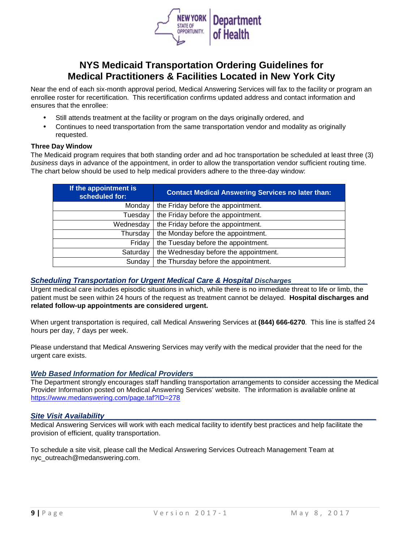

Near the end of each six-month approval period, Medical Answering Services will fax to the facility or program an enrollee roster for recertification. This recertification confirms updated address and contact information and ensures that the enrollee:

- Still attends treatment at the facility or program on the days originally ordered, and
- Continues to need transportation from the same transportation vendor and modality as originally requested.

#### **Three Day Window**

The Medicaid program requires that both standing order and ad hoc transportation be scheduled at least three (3) *business* days in advance of the appointment, in order to allow the transportation vendor sufficient routing time. The chart below should be used to help medical providers adhere to the three-day window:

| If the appointment is<br>scheduled for: | <b>Contact Medical Answering Services no later than:</b> |  |
|-----------------------------------------|----------------------------------------------------------|--|
| Monday                                  | the Friday before the appointment.                       |  |
| Tuesday                                 | the Friday before the appointment.                       |  |
| Wednesday                               | the Friday before the appointment.                       |  |
| Thursday                                | the Monday before the appointment.                       |  |
| Friday                                  | the Tuesday before the appointment.                      |  |
| Saturday                                | the Wednesday before the appointment.                    |  |
| Sunday                                  | the Thursday before the appointment.                     |  |

#### <span id="page-10-0"></span>Scheduling Transportation for Urgent Medical Care & Hospital Discharges\_

Urgent medical care includes episodic situations in which, while there is no immediate threat to life or limb, the patient must be seen within 24 hours of the request as treatment cannot be delayed. **Hospital discharges and related follow-up appointments are considered urgent.**

When urgent transportation is required, call Medical Answering Services at **(844) 666-6270**. This line is staffed 24 hours per day, 7 days per week.

Please understand that Medical Answering Services may verify with the medical provider that the need for the urgent care exists.

#### <span id="page-10-1"></span>Web Based Information for Medical Providers

The Department strongly encourages staff handling transportation arrangements to consider accessing the Medical Provider Information posted on Medical Answering Services' website. The information is available online at <https://www.medanswering.com/page.taf?ID=278>

#### <span id="page-10-2"></span>*Site Visit Availability*

Medical Answering Services will work with each medical facility to identify best practices and help facilitate the provision of efficient, quality transportation.

To schedule a site visit, please call the Medical Answering Services Outreach Management Team at nyc\_outreach@medanswering.com.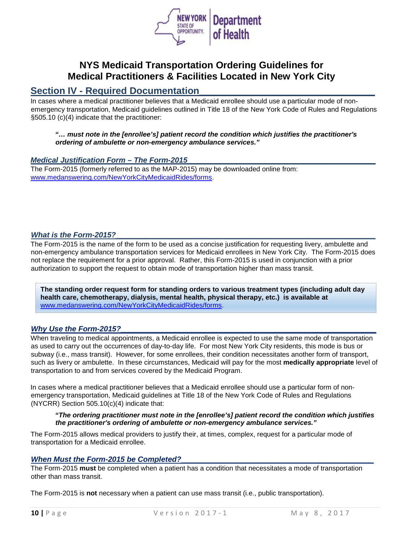

### <span id="page-11-0"></span>**Section IV - Required Documentation\_\_\_\_\_\_\_\_\_\_\_\_\_\_\_\_\_\_\_\_\_\_\_\_\_\_\_\_\_\_\_\_\_**

In cases where a medical practitioner believes that a Medicaid enrollee should use a particular mode of nonemergency transportation, Medicaid guidelines outlined in Title 18 of the New York Code of Rules and Regulations §505.10 (c)(4) indicate that the practitioner:

*"… must note in the [enrollee's] patient record the condition which justifies the practitioner's ordering of ambulette or non-emergency ambulance services."* 

#### <span id="page-11-1"></span>*Medical Justification Form – The Form-2015\_\_\_\_\_\_\_\_\_\_\_\_\_\_\_\_\_\_\_\_\_\_\_\_\_\_\_\_\_\_\_\_\_\_\_\_\_\_\_\_\_\_\_\_\_*

The Form-2015 (formerly referred to as the MAP-2015) may be downloaded online from: www.medanswering.com/NewYorkCityMedicaidRides/forms.

#### <span id="page-11-2"></span>*What is the Form-2015?*

The Form-2015 is the name of the form to be used as a concise justification for requesting livery, ambulette and non-emergency ambulance transportation services for Medicaid enrollees in New York City. The Form-2015 does not replace the requirement for a prior approval. Rather, this Form-2015 is used in conjunction with a prior authorization to support the request to obtain mode of transportation higher than mass transit.

**The standing order request form for standing orders to various treatment types (including adult day health care, chemotherapy, dialysis, mental health, physical therapy, etc.) is available at**  www.medanswering.com/NewYorkCityMedicaidRides/forms.

#### <span id="page-11-3"></span>Why Use the Form-2015?

When traveling to medical appointments, a Medicaid enrollee is expected to use the same mode of transportation as used to carry out the occurrences of day-to-day life. For most New York City residents, this mode is bus or subway (i.e., mass transit). However, for some enrollees, their condition necessitates another form of transport, such as livery or ambulette. In these circumstances, Medicaid will pay for the most **medically appropriate** level of transportation to and from services covered by the Medicaid Program.

In cases where a medical practitioner believes that a Medicaid enrollee should use a particular form of nonemergency transportation, Medicaid guidelines at Title 18 of the New York Code of Rules and Regulations (NYCRR) Section 505.10(c)(4) indicate that:

#### *"The ordering practitioner must note in the [enrollee's] patient record the condition which justifies the practitioner's ordering of ambulette or non-emergency ambulance services."*

The Form-2015 allows medical providers to justify their, at times, complex, request for a particular mode of transportation for a Medicaid enrollee.

#### <span id="page-11-4"></span>*When Must the Form-2015 be Completed?*

The Form-2015 **must** be completed when a patient has a condition that necessitates a mode of transportation other than mass transit.

The Form-2015 is **not** necessary when a patient can use mass transit (i.e., public transportation).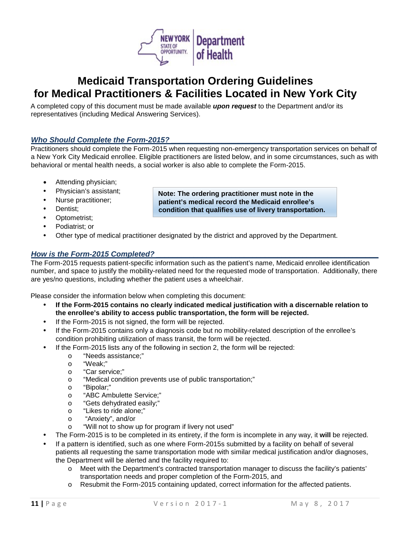

A completed copy of this document must be made available *upon request* to the Department and/or its representatives (including Medical Answering Services).

### <span id="page-12-0"></span>*Who Should Complete the Form-2015? \_\_\_\_\_\_\_\_\_\_\_\_\_\_\_\_\_\_\_\_\_\_\_\_\_\_\_\_\_\_\_\_\_\_\_\_\_\_\_\_\_\_\_\_\_\_\_\_\_*

Practitioners should complete the Form-2015 when requesting non-emergency transportation services on behalf of a New York City Medicaid enrollee. Eligible practitioners are listed below, and in some circumstances, such as with behavioral or mental health needs, a social worker is also able to complete the Form-2015.

> **Note: The ordering practitioner must note in the patient's medical record the Medicaid enrollee's condition that qualifies use of livery transportation.**

- Attending physician;
- Physician's assistant;
- Nurse practitioner;
- Dentist;
- Optometrist;
- Podiatrist; or
- Other type of medical practitioner designated by the district and approved by the Department.

### <span id="page-12-1"></span>*How is the Form-2015 Completed? \_\_\_\_\_\_\_\_\_\_\_\_\_\_\_\_\_\_\_\_\_\_\_\_\_\_\_\_\_\_\_\_\_\_\_\_\_\_\_\_\_\_\_\_\_\_\_\_\_\_\_\_\_*

The Form-2015 requests patient-specific information such as the patient's name, Medicaid enrollee identification number, and space to justify the mobility-related need for the requested mode of transportation. Additionally, there are yes/no questions, including whether the patient uses a wheelchair.

Please consider the information below when completing this document:

- **If the Form-2015 contains no clearly indicated medical justification with a discernable relation to the enrollee's ability to access public transportation, the form will be rejected.**
- If the Form-2015 is not signed, the form will be rejected.
- If the Form-2015 contains only a diagnosis code but no mobility-related description of the enrollee's condition prohibiting utilization of mass transit, the form will be rejected.
- If the Form-2015 lists any of the following in section 2, the form will be rejected:
	- o "Needs assistance;"<br>o "Weak<sup>.</sup>"
	- "Weak:"
	- o "Car service;"
	- o "Medical condition prevents use of public transportation;"
	- o "Bipolar;"
	- o "ABC Ambulette Service;"
	- o "Gets dehydrated easily;"
	- o "Likes to ride alone;"
	- o "Anxiety", and/or
	- o "Will not to show up for program if livery not used"
- The Form-2015 is to be completed in its entirety, if the form is incomplete in any way, it **will** be rejected.
- If a pattern is identified, such as one where Form-2015s submitted by a facility on behalf of several patients all requesting the same transportation mode with similar medical justification and/or diagnoses, the Department will be alerted and the facility required to:
	- o Meet with the Department's contracted transportation manager to discuss the facility's patients' transportation needs and proper completion of the Form-2015, and
	- o Resubmit the Form-2015 containing updated, correct information for the affected patients.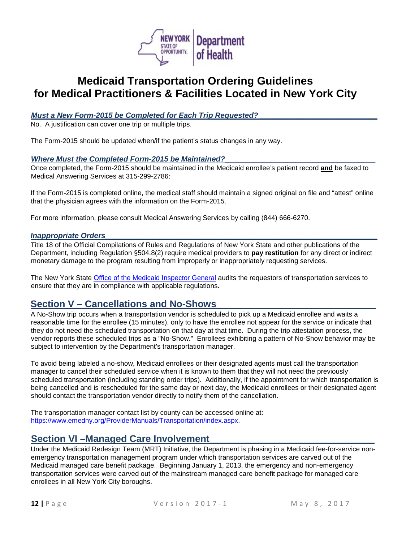

### <span id="page-13-0"></span>*Must a New Form-2015 be Completed for Each Trip Requested?*

No. A justification can cover one trip or multiple trips.

<span id="page-13-1"></span>The Form-2015 should be updated when/if the patient's status changes in any way.

#### *Where Must the Completed Form-2015 be Maintained?\_\_\_\_\_\_\_\_\_\_\_\_\_\_\_\_\_\_\_\_\_\_\_\_\_\_\_\_\_\_\_\_\_\_\_\_*

Once completed, the Form-2015 should be maintained in the Medicaid enrollee's patient record **and** be faxed to Medical Answering Services at 315-299-2786:

If the Form-2015 is completed online, the medical staff should maintain a signed original on file and "attest" online that the physician agrees with the information on the Form-2015.

For more information, please consult Medical Answering Services by calling (844) 666-6270.

#### <span id="page-13-2"></span>*Inappropriate Orders\_\_\_\_\_\_\_\_\_\_\_\_\_\_\_\_\_\_\_\_\_\_\_\_\_\_\_\_\_\_\_\_\_\_\_\_\_\_\_\_\_\_\_\_\_\_\_\_\_\_\_\_\_\_\_\_\_\_\_\_\_\_\_\_\_*

Title 18 of the Official Compilations of Rules and Regulations of New York State and other publications of the Department, including Regulation §504.8(2) require medical providers to **pay restitution** for any direct or indirect monetary damage to the program resulting from improperly or inappropriately requesting services.

The New York State [Office of the Medicaid Inspector General](http://www.omig.ny.gov/) [a](http://www.omig.ny.gov/)udits the requestors of transportation services to ensure that they are in compliance with applicable regulations.

## <span id="page-13-3"></span>**Section V – Cancellations and No-Shows\_\_\_\_\_\_\_\_\_\_\_\_\_\_\_\_\_\_\_\_\_\_\_\_\_\_\_\_\_\_**

A No-Show trip occurs when a transportation vendor is scheduled to pick up a Medicaid enrollee and waits a reasonable time for the enrollee (15 minutes), only to have the enrollee not appear for the service or indicate that they do not need the scheduled transportation on that day at that time. During the trip attestation process, the vendor reports these scheduled trips as a "No-Show." Enrollees exhibiting a pattern of No-Show behavior may be subject to intervention by the Department's transportation manager.

To avoid being labeled a no-show, Medicaid enrollees or their designated agents must call the transportation manager to cancel their scheduled service when it is known to them that they will not need the previously scheduled transportation (including standing order trips). Additionally, if the appointment for which transportation is being cancelled and is rescheduled for the same day or next day, the Medicaid enrollees or their designated agent should contact the transportation vendor directly to notify them of the cancellation.

The transportation manager contact list by county can be accessed online at[:](https://www.emedny.org/ProviderManuals/Transportation/index.aspx) [https://www.emedny.org/ProviderManuals/Transportation/index.aspx.](https://www.emedny.org/ProviderManuals/Transportation/index.aspx)

### <span id="page-13-4"></span>**Section VI –Managed Care Involvement**

Under the Medicaid Redesign Team (MRT) Initiative, the Department is phasing in a Medicaid fee-for-service nonemergency transportation management program under which transportation services are carved out of the Medicaid managed care benefit package. Beginning January 1, 2013, the emergency and non-emergency transportation services were carved out of the mainstream managed care benefit package for managed care enrollees in all New York City boroughs.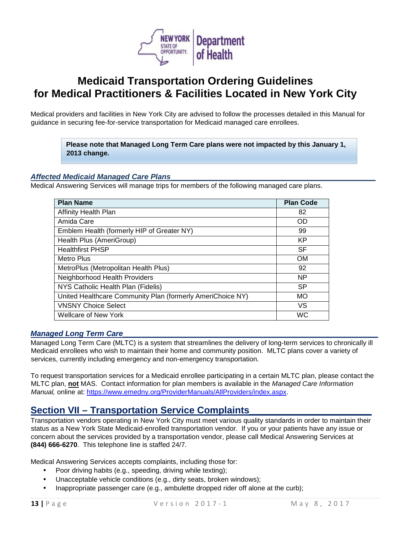

Medical providers and facilities in New York City are advised to follow the processes detailed in this Manual for guidance in securing fee-for-service transportation for Medicaid managed care enrollees.

> **Please note that Managed Long Term Care plans were not impacted by this January 1, 2013 change.**

### <span id="page-14-0"></span>*Affected Medicaid Managed Care Plans\_\_\_\_\_\_\_\_\_\_\_\_\_\_\_\_\_\_\_\_\_\_\_\_\_\_\_\_\_\_\_\_\_\_\_\_\_\_\_\_\_\_\_\_\_\_\_\_\_*

Medical Answering Services will manage trips for members of the following managed care plans.

| <b>Plan Name</b>                                           | <b>Plan Code</b> |
|------------------------------------------------------------|------------------|
| <b>Affinity Health Plan</b>                                | 82               |
| Amida Care                                                 | OD               |
| Emblem Health (formerly HIP of Greater NY)                 | 99               |
| Health Plus (AmeriGroup)                                   | KP               |
| <b>Healthfirst PHSP</b>                                    | <b>SF</b>        |
| Metro Plus                                                 | <b>OM</b>        |
| MetroPlus (Metropolitan Health Plus)                       | 92               |
| Neighborhood Health Providers                              | <b>NP</b>        |
| NYS Catholic Health Plan (Fidelis)                         | <b>SP</b>        |
| United Healthcare Community Plan (formerly AmeriChoice NY) | <b>MO</b>        |
| <b>VNSNY Choice Select</b>                                 | VS               |
| Wellcare of New York                                       | <b>WC</b>        |

#### <span id="page-14-1"></span>*Managed Long Term Care*

Managed Long Term Care (MLTC) is a system that streamlines the delivery of long-term services to chronically ill Medicaid enrollees who wish to maintain their home and community position. MLTC plans cover a variety of services, currently including emergency and non-emergency transportation.

To request transportation services for a Medicaid enrollee participating in a certain MLTC plan, please contact the MLTC plan, **not** MAS. Contact information for plan members is available in the *Managed Care Information Manual,* online at: [https://www.emedny.org/ProviderManuals/AllProviders/index.aspx.](https://www.emedny.org/ProviderManuals/AllProviders/index.aspx)

## <span id="page-14-2"></span>**Section VII – Transportation Service Complaints\_\_\_\_\_\_\_\_\_\_\_\_\_\_\_\_\_\_\_\_\_\_\_**

Transportation vendors operating in New York City must meet various quality standards in order to maintain their status as a New York State Medicaid-enrolled transportation vendor. If you or your patients have any issue or concern about the services provided by a transportation vendor, please call Medical Answering Services at **(844) 666-6270**. This telephone line is staffed 24/7.

Medical Answering Services accepts complaints, including those for:

- Poor driving habits (e.g., speeding, driving while texting);
- Unacceptable vehicle conditions (e.g., dirty seats, broken windows);
- Inappropriate passenger care (e.g., ambulette dropped rider off alone at the curb);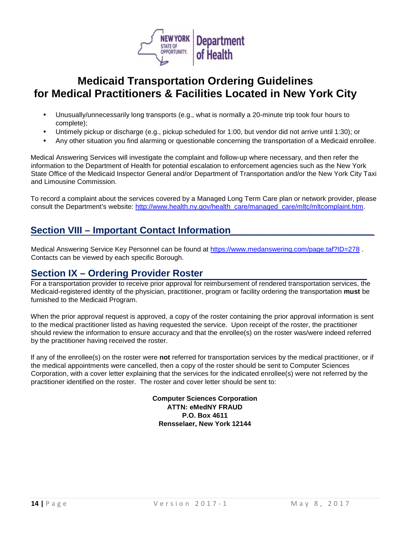

- Unusually/unnecessarily long transports (e.g., what is normally a 20-minute trip took four hours to complete);
- Untimely pickup or discharge (e.g., pickup scheduled for 1:00, but vendor did not arrive until 1:30); or
- Any other situation you find alarming or questionable concerning the transportation of a Medicaid enrollee.

Medical Answering Services will investigate the complaint and follow-up where necessary, and then refer the information to the Department of Health for potential escalation to enforcement agencies such as the New York State Office of the Medicaid Inspector General and/or Department of Transportation and/or the New York City Taxi and Limousine Commission.

To record a complaint about the services covered by a Managed Long Term Care plan or network provider, please consult the Department's website: [http://www.health.ny.gov/health\\_care/managed\\_care/mltc/mltcomplaint.htm.](http://www.health.ny.gov/health_care/managed_care/mltc/mltcomplaint.htm)

## <span id="page-15-0"></span>**Section VIII – Important Contact Information***\_\_\_\_\_\_\_\_\_\_\_\_\_\_\_\_\_\_\_\_\_\_\_\_\_\_\_*

Medical Answering Service Key Personnel can be found at<https://www.medanswering.com/page.taf?ID=278> . Contacts can be viewed by each specific Borough.

## <span id="page-15-1"></span>**Section IX – Ordering Provider Roster**

For a transportation provider to receive prior approval for reimbursement of rendered transportation services, the Medicaid-registered identity of the physician, practitioner, program or facility ordering the transportation **must** be furnished to the Medicaid Program.

When the prior approval request is approved, a copy of the roster containing the prior approval information is sent to the medical practitioner listed as having requested the service. Upon receipt of the roster, the practitioner should review the information to ensure accuracy and that the enrollee(s) on the roster was/were indeed referred by the practitioner having received the roster.

If any of the enrollee(s) on the roster were **not** referred for transportation services by the medical practitioner, or if the medical appointments were cancelled, then a copy of the roster should be sent to Computer Sciences Corporation, with a cover letter explaining that the services for the indicated enrollee(s) were not referred by the practitioner identified on the roster. The roster and cover letter should be sent to:

> **Computer Sciences Corporation ATTN: eMedNY FRAUD P.O. Box 4611 Rensselaer, New York 12144**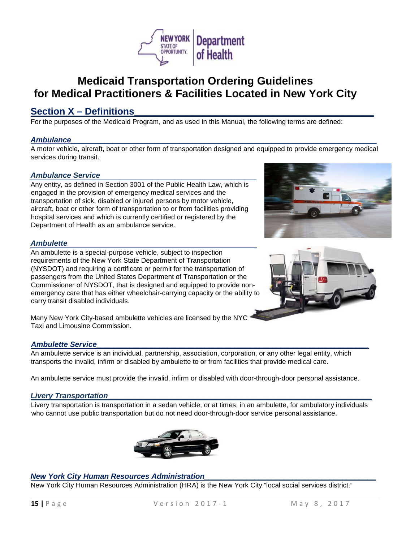

## <span id="page-16-2"></span><span id="page-16-0"></span>**Section X – Definitions\_\_\_\_\_\_\_\_\_\_\_\_\_\_\_\_\_\_\_\_\_\_\_\_\_\_\_\_\_\_\_\_\_\_\_\_\_\_\_\_\_\_\_\_\_**

For the purposes of the Medicaid Program, and as used in this Manual, the following terms are defined:

### <span id="page-16-1"></span>*Ambulance\_\_\_\_\_\_\_\_\_\_\_\_\_\_\_\_\_\_\_\_\_\_\_\_\_\_\_\_\_\_\_\_\_\_\_\_\_\_\_\_\_\_\_\_\_\_\_\_\_\_\_\_\_\_\_\_\_\_\_\_\_\_\_\_\_\_\_\_\_\_\_\_\_*

A motor vehicle, aircraft, boat or other form of transportation designed and equipped to provide emergency medical services during transit.

#### *Ambulance Service*

Any entity, as defined in Section 3001 of the Public Health Law, which is engaged in the provision of emergency medical services and the transportation of sick, disabled or injured persons by motor vehicle, aircraft, boat or other form of transportation to or from facilities providing hospital services and which is currently certified or registered by the Department of Health as an ambulance service.

#### *Ambulette*

An ambulette is a special-purpose vehicle, subject to inspection requirements of the New York State Department of Transportation (NYSDOT) and requiring a certificate or permit for the transportation of passengers from the United States Department of Transportation or the Commissioner of NYSDOT, that is designed and equipped to provide nonemergency care that has either wheelchair-carrying capacity or the ability to carry transit disabled individuals.





Many New York City-based ambulette vehicles are licensed by the NYC Taxi and Limousine Commission.

### <span id="page-16-3"></span>*Ambulette Service\_\_\_\_\_\_\_\_\_\_\_\_\_\_\_\_\_\_\_\_\_\_\_\_\_\_\_\_\_\_\_\_\_\_\_\_\_\_\_\_\_\_\_\_\_\_\_\_\_\_\_\_\_\_\_\_\_\_\_\_\_\_\_\_\_*

An ambulette service is an individual, partnership, association, corporation, or any other legal entity, which transports the invalid, infirm or disabled by ambulette to or from facilities that provide medical care.

An ambulette service must provide the invalid, infirm or disabled with door-through-door personal assistance.

#### <span id="page-16-4"></span>*Livery Transportation\_\_\_\_\_\_\_\_\_\_\_\_\_\_\_\_\_\_\_\_\_\_\_\_\_\_\_\_\_\_\_\_\_\_\_\_\_\_\_\_\_\_\_\_\_\_\_\_\_\_\_\_\_\_\_\_\_\_\_\_\_\_\_*

Livery transportation is transportation in a sedan vehicle, or at times, in an ambulette, for ambulatory individuals who cannot use public transportation but do not need door-through-door service personal assistance.



### <span id="page-16-5"></span>*New York City Human Resources Administration\_\_\_\_\_\_\_\_\_\_\_\_\_\_\_\_\_\_\_\_\_\_\_\_\_\_\_\_\_\_\_\_\_\_\_\_\_\_\_\_\_*

New York City Human Resources Administration (HRA) is the New York City "local social services district."